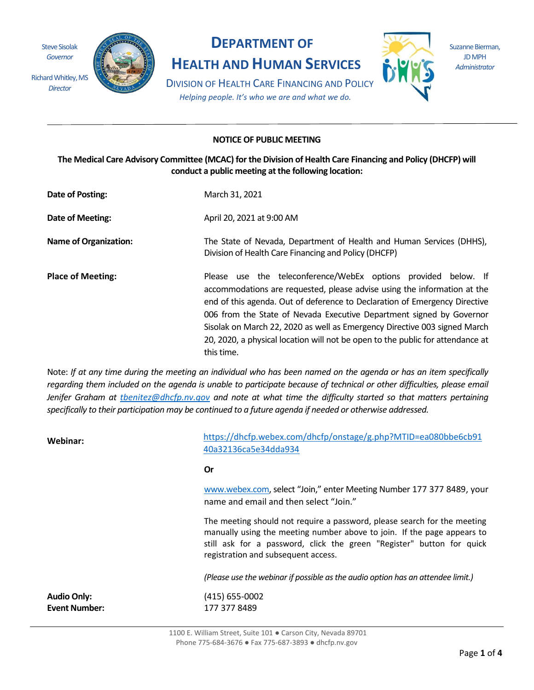Steve Sisolak *Governor* 

*Director*



# **DEPARTMENT OF**

**HEALTH AND HUMAN SERVICES**

Suzanne Bierman, JD MPH *Administrator*

DIVISION OF HEALTH CARE FINANCING AND POLICY *Helping people. It's who we are and what we do.*

## **NOTICE OF PUBLIC MEETING**

**The Medical Care Advisory Committee (MCAC) for the Division of Health Care Financing and Policy (DHCFP) will conduct a public meeting at the following location:** 

| Date of Posting:             | March 31, 2021                                                                                                                                                                                                                                                                                                                                                                                                                                                                |
|------------------------------|-------------------------------------------------------------------------------------------------------------------------------------------------------------------------------------------------------------------------------------------------------------------------------------------------------------------------------------------------------------------------------------------------------------------------------------------------------------------------------|
| Date of Meeting:             | April 20, 2021 at 9:00 AM                                                                                                                                                                                                                                                                                                                                                                                                                                                     |
| <b>Name of Organization:</b> | The State of Nevada, Department of Health and Human Services (DHHS),<br>Division of Health Care Financing and Policy (DHCFP)                                                                                                                                                                                                                                                                                                                                                  |
| <b>Place of Meeting:</b>     | Please use the teleconference/WebEx options provided below. If<br>accommodations are requested, please advise using the information at the<br>end of this agenda. Out of deference to Declaration of Emergency Directive<br>006 from the State of Nevada Executive Department signed by Governor<br>Sisolak on March 22, 2020 as well as Emergency Directive 003 signed March<br>20, 2020, a physical location will not be open to the public for attendance at<br>this time. |

Note: *If at any time during the meeting an individual who has been named on the agenda or has an item specifically regarding them included on the agenda is unable to participate because of technical or other difficulties, please email Jenifer Graham at [tbenitez@dhcfp.nv.gov](mailto:tbenitez@dhcfp.nv.gov) and note at what time the difficulty started so that matters pertaining specifically to their participation may be continued to a future agenda if needed or otherwise addressed.*

| Webinar:                                   | https://dhcfp.webex.com/dhcfp/onstage/g.php?MTID=ea080bbe6cb91<br>40a32136ca5e34dda934                                                                                                                                                                              |
|--------------------------------------------|---------------------------------------------------------------------------------------------------------------------------------------------------------------------------------------------------------------------------------------------------------------------|
|                                            | 0r                                                                                                                                                                                                                                                                  |
|                                            | www.webex.com, select "Join," enter Meeting Number 177 377 8489, your<br>name and email and then select "Join."                                                                                                                                                     |
|                                            | The meeting should not require a password, please search for the meeting<br>manually using the meeting number above to join. If the page appears to<br>still ask for a password, click the green "Register" button for quick<br>registration and subsequent access. |
|                                            | (Please use the webinar if possible as the audio option has an attendee limit.)                                                                                                                                                                                     |
| <b>Audio Only:</b><br><b>Event Number:</b> | $(415)$ 655-0002<br>177 377 8489                                                                                                                                                                                                                                    |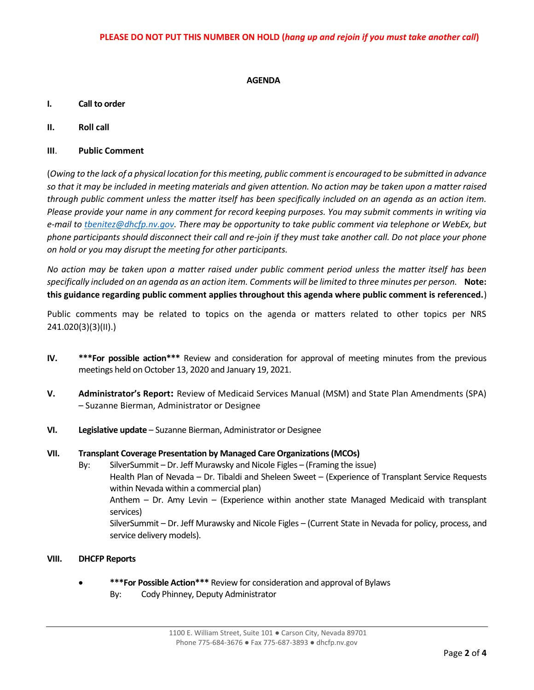### **AGENDA**

- **I. Call to order**
- **II. Roll call**
- **III**. **Public Comment**

(*Owing to the lack of a physical location for this meeting, public comment is encouraged to be submitted in advance so that it may be included in meeting materials and given attention. No action may be taken upon a matter raised through public comment unless the matter itself has been specifically included on an agenda as an action item. Please provide your name in any comment for record keeping purposes. You may submit comments in writing via e-mail t[o tbenitez@dhcfp.nv.gov.](mailto:tbenitez@dhcfp.nv.gov) There may be opportunity to take public comment via telephone or WebEx, but phone participants should disconnect their call and re-join if they must take another call. Do not place your phone on hold or you may disrupt the meeting for other participants.* 

*No action may be taken upon a matter raised under public comment period unless the matter itself has been specifically included on an agenda as an action item. Comments will be limited to three minutes per person.* **Note: this guidance regarding public comment applies throughout this agenda where public comment is referenced.**)

Public comments may be related to topics on the agenda or matters related to other topics per NRS 241.020(3)(3)(II).)

- **IV. \*\*\*For possible action\*\*\*** Review and consideration for approval of meeting minutes from the previous meetings held on October 13, 2020 and January 19, 2021.
- **V. Administrator's Report:** Review of Medicaid Services Manual (MSM) and State Plan Amendments (SPA) – Suzanne Bierman, Administrator or Designee
- **VI. Legislative update**  Suzanne Bierman, Administrator or Designee

#### **VII. Transplant Coverage Presentation by Managed Care Organizations (MCOs)**

- By: SilverSummit Dr. Jeff Murawsky and Nicole Figles (Framing the issue) Health Plan of Nevada – Dr. Tibaldi and Sheleen Sweet – (Experience of Transplant Service Requests within Nevada within a commercial plan) Anthem – Dr. Amy Levin – (Experience within another state Managed Medicaid with transplant services) SilverSummit – Dr. Jeff Murawsky and Nicole Figles – (Current State in Nevada for policy, process, and service delivery models).
- **VIII. DHCFP Reports** 
	- **\*\*\*For Possible Action\*\*\*** Review for consideration and approval of Bylaws By: Cody Phinney, Deputy Administrator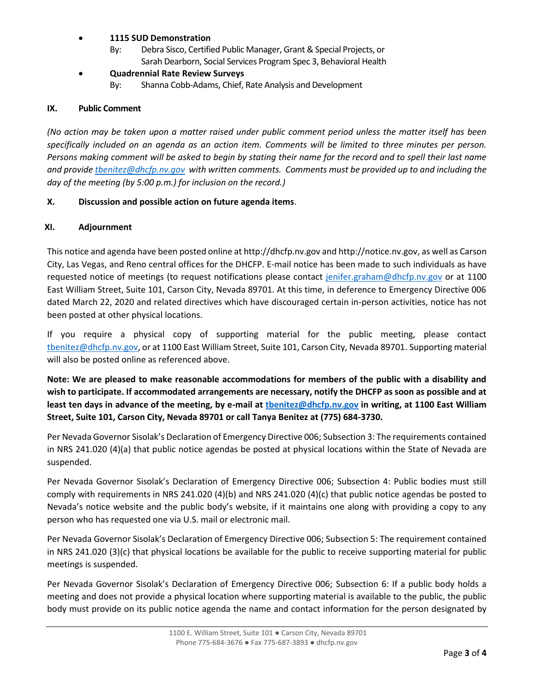## • **1115 SUD Demonstration**

By: Debra Sisco, Certified Public Manager, Grant & Special Projects, or Sarah Dearborn, Social Services Program Spec 3, Behavioral Health

## • **Quadrennial Rate Review Surveys**

By: Shanna Cobb-Adams, Chief, Rate Analysis and Development

### **IX. Public Comment**

*(No action may be taken upon a matter raised under public comment period unless the matter itself has been specifically included on an agenda as an action item. Comments will be limited to three minutes per person. Persons making comment will be asked to begin by stating their name for the record and to spell their last name and provide [tbenitez@dhcfp.nv.gov](mailto:tbenitez@dhcfp.nv.gov) with written comments. Comments must be provided up to and including the day of the meeting (by 5:00 p.m.) for inclusion on the record.)* 

## **X. Discussion and possible action on future agenda items**.

## **XI. Adjournment**

This notice and agenda have been posted online at http://dhcfp.nv.gov and http://notice.nv.gov, as well as Carson City, Las Vegas, and Reno central offices for the DHCFP. E-mail notice has been made to such individuals as have requested notice of meetings (to request notifications please contact [jenifer.graham@dhcfp.nv.gov](mailto:jenifer.graham@dhcfp.nv.gov) or at 1100 East William Street, Suite 101, Carson City, Nevada 89701. At this time, in deference to Emergency Directive 006 dated March 22, 2020 and related directives which have discouraged certain in-person activities, notice has not been posted at other physical locations.

If you require a physical copy of supporting material for the public meeting, please contact [tbenitez@dhcfp.nv.gov,](mailto:tbenitez@dhcfp.nv.gov) or at 1100 East William Street, Suite 101, Carson City, Nevada 89701. Supporting material will also be posted online as referenced above.

**Note: We are pleased to make reasonable accommodations for members of the public with a disability and wish to participate. If accommodated arrangements are necessary, notify the DHCFP as soon as possible and at least ten days in advance of the meeting, by e-mail at [tbenitez@dhcfp.nv.gov](mailto:tbenitez@dhcfp.nv.gov) in writing, at 1100 East William Street, Suite 101, Carson City, Nevada 89701 or call Tanya Benitez at (775) 684-3730.** 

Per Nevada Governor Sisolak's Declaration of Emergency Directive 006; Subsection 3: The requirements contained in NRS 241.020 (4)(a) that public notice agendas be posted at physical locations within the State of Nevada are suspended.

Per Nevada Governor Sisolak's Declaration of Emergency Directive 006; Subsection 4: Public bodies must still comply with requirements in NRS 241.020 (4)(b) and NRS 241.020 (4)(c) that public notice agendas be posted to Nevada's notice website and the public body's website, if it maintains one along with providing a copy to any person who has requested one via U.S. mail or electronic mail.

Per Nevada Governor Sisolak's Declaration of Emergency Directive 006; Subsection 5: The requirement contained in NRS 241.020 (3)(c) that physical locations be available for the public to receive supporting material for public meetings is suspended.

Per Nevada Governor Sisolak's Declaration of Emergency Directive 006; Subsection 6: If a public body holds a meeting and does not provide a physical location where supporting material is available to the public, the public body must provide on its public notice agenda the name and contact information for the person designated by